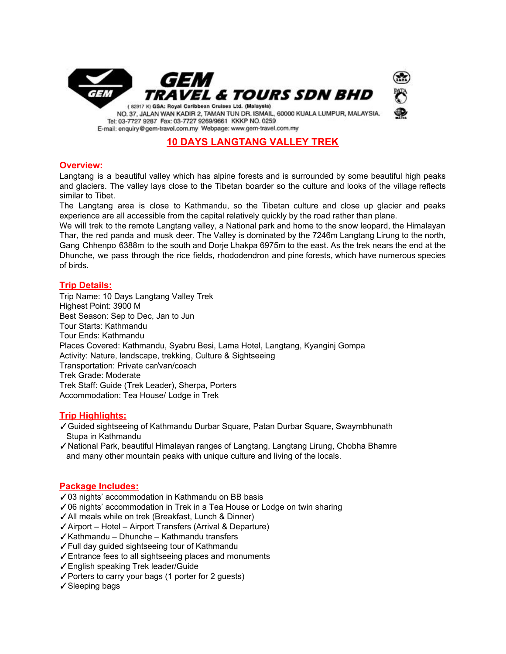

## **10 DAYS LANGTANG VALLEY TREK**

## **Overview:**

Langtang is a beautiful valley which has alpine forests and is surrounded by some beautiful high peaks and glaciers. The valley lays close to the Tibetan boarder so the culture and looks of the village reflects similar to Tibet.

The Langtang area is close to Kathmandu, so the Tibetan culture and close up glacier and peaks experience are all accessible from the capital relatively quickly by the road rather than plane.

We will trek to the remote Langtang valley, a National park and home to the snow leopard, the Himalayan Thar, the red panda and musk deer. The Valley is dominated by the 7246m Langtang Lirung to the north, Gang Chhenpo 6388m to the south and Dorje Lhakpa 6975m to the east. As the trek nears the end at the Dhunche, we pass through the rice fields, rhododendron and pine forests, which have numerous species of birds.

## **Trip Details:**

Trip Name: 10 Days Langtang Valley Trek Highest Point: 3900 M Best Season: Sep to Dec, Jan to Jun Tour Starts: Kathmandu Tour Ends: Kathmandu Places Covered: Kathmandu, Syabru Besi, Lama Hotel, Langtang, Kyanginj Gompa Activity: Nature, landscape, trekking, Culture & Sightseeing Transportation: Private car/van/coach Trek Grade: Moderate Trek Staff: Guide (Trek Leader), Sherpa, Porters Accommodation: Tea House/ Lodge in Trek

## **Trip Highlights:**

- ✓Guided sightseeing of Kathmandu Durbar Square, Patan Durbar Square, Swaymbhunath Stupa in Kathmandu
- ✓National Park, beautiful Himalayan ranges of Langtang, Langtang Lirung, Chobha Bhamre and many other mountain peaks with unique culture and living of the locals.

## **Package Includes:**

- ✓03 nights' accommodation in Kathmandu on BB basis
- ✓06 nights' accommodation in Trek in a Tea House or Lodge on twin sharing
- ✓All meals while on trek (Breakfast, Lunch & Dinner)
- ✓Airport Hotel Airport Transfers (Arrival & Departure)
- ✓Kathmandu Dhunche Kathmandu transfers
- ✓Full day guided sightseeing tour of Kathmandu
- ✓Entrance fees to all sightseeing places and monuments
- ✓English speaking Trek leader/Guide
- ✓Porters to carry your bags (1 porter for 2 guests)
- ✓Sleeping bags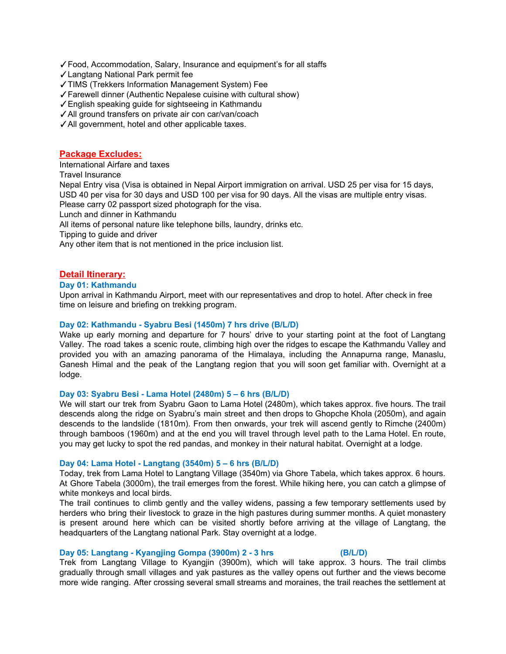- ✓Food, Accommodation, Salary, Insurance and equipment's for all staffs
- ✓Langtang National Park permit fee
- ✓TIMS (Trekkers Information Management System) Fee
- ✓Farewell dinner (Authentic Nepalese cuisine with cultural show)
- ✓English speaking guide for sightseeing in Kathmandu
- ✓All ground transfers on private air con car/van/coach
- ✓All government, hotel and other applicable taxes.

### **Package Excludes:**

International Airfare and taxes

Travel Insurance

Nepal Entry visa (Visa is obtained in Nepal Airport immigration on arrival. USD 25 per visa for 15 days, USD 40 per visa for 30 days and USD 100 per visa for 90 days. All the visas are multiple entry visas. Please carry 02 passport sized photograph for the visa.

Lunch and dinner in Kathmandu

All items of personal nature like telephone bills, laundry, drinks etc.

Tipping to guide and driver

Any other item that is not mentioned in the price inclusion list.

## **Detail Itinerary:**

#### **Day 01: Kathmandu**

Upon arrival in Kathmandu Airport, meet with our representatives and drop to hotel. After check in free time on leisure and briefing on trekking program.

### **Day 02: Kathmandu - Syabru Besi (1450m) 7 hrs drive (B/L/D)**

Wake up early morning and departure for 7 hours' drive to your starting point at the foot of Langtang Valley. The road takes a scenic route, climbing high over the ridges to escape the Kathmandu Valley and provided you with an amazing panorama of the Himalaya, including the Annapurna range, Manaslu, Ganesh Himal and the peak of the Langtang region that you will soon get familiar with. Overnight at a lodge.

#### **Day 03: Syabru Besi - Lama Hotel (2480m) 5 – 6 hrs (B/L/D)**

We will start our trek from Syabru Gaon to Lama Hotel (2480m), which takes approx. five hours. The trail descends along the ridge on Syabru's main street and then drops to Ghopche Khola (2050m), and again descends to the landslide (1810m). From then onwards, your trek will ascend gently to Rimche (2400m) through bamboos (1960m) and at the end you will travel through level path to the Lama Hotel. En route, you may get lucky to spot the red pandas, and monkey in their natural habitat. Overnight at a lodge.

#### **Day 04: Lama Hotel - Langtang (3540m) 5 – 6 hrs (B/L/D)**

Today, trek from Lama Hotel to Langtang Village (3540m) via Ghore Tabela, which takes approx. 6 hours. At Ghore Tabela (3000m), the trail emerges from the forest. While hiking here, you can catch a glimpse of white monkeys and local birds.

The trail continues to climb gently and the valley widens, passing a few temporary settlements used by herders who bring their livestock to graze in the high pastures during summer months. A quiet monastery is present around here which can be visited shortly before arriving at the village of Langtang, the headquarters of the Langtang national Park. Stay overnight at a lodge.

#### **Day 05: Langtang - Kyangjing Gompa (3900m) 2 - 3 hrs (B/L/D)**

Trek from Langtang Village to Kyangjin (3900m), which will take approx. 3 hours. The trail climbs gradually through small villages and yak pastures as the valley opens out further and the views become more wide ranging. After crossing several small streams and moraines, the trail reaches the settlement at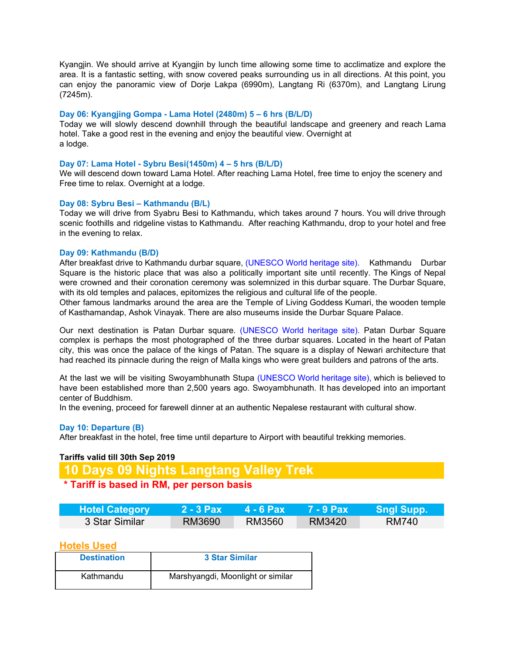Kyangjin. We should arrive at Kyangjin by lunch time allowing some time to acclimatize and explore the area. It is a fantastic setting, with snow covered peaks surrounding us in all directions. At this point, you can enjoy the panoramic view of Dorje Lakpa (6990m), Langtang Ri (6370m), and Langtang Lirung (7245m).

### **Day 06: Kyangjing Gompa - Lama Hotel (2480m) 5 – 6 hrs (B/L/D)**

Today we will slowly descend downhill through the beautiful landscape and greenery and reach Lama hotel. Take a good rest in the evening and enjoy the beautiful view. Overnight at a lodge.

### **Day 07: Lama Hotel - Sybru Besi(1450m) 4 – 5 hrs (B/L/D)**

We will descend down toward Lama Hotel. After reaching Lama Hotel, free time to enjoy the scenery and Free time to relax. Overnight at a lodge.

#### **Day 08: Sybru Besi – Kathmandu (B/L)**

Today we will drive from Syabru Besi to Kathmandu, which takes around 7 hours. You will drive through scenic foothills and ridgeline vistas to Kathmandu. After reaching Kathmandu, drop to your hotel and free in the evening to relax.

#### **Day 09: Kathmandu (B/D)**

After breakfast drive to Kathmandu durbar square, (UNESCO World heritage site). Kathmandu Durbar Square is the historic place that was also a politically important site until recently. The Kings of Nepal were crowned and their coronation ceremony was solemnized in this durbar square. The Durbar Square, with its old temples and palaces, epitomizes the religious and cultural life of the people.

Other famous landmarks around the area are the Temple of Living Goddess Kumari, the wooden temple of Kasthamandap, Ashok Vinayak. There are also museums inside the Durbar Square Palace.

Our next destination is Patan Durbar square. (UNESCO World heritage site). Patan Durbar Square complex is perhaps the most photographed of the three durbar squares. Located in the heart of Patan city, this was once the palace of the kings of Patan. The square is a display of Newari architecture that had reached its pinnacle during the reign of Malla kings who were great builders and patrons of the arts.

At the last we will be visiting Swoyambhunath Stupa (UNESCO World heritage site), which is believed to have been established more than 2,500 years ago. Swoyambhunath. It has developed into an important center of Buddhism.

In the evening, proceed for farewell dinner at an authentic Nepalese restaurant with cultural show.

#### **Day 10: Departure (B)**

After breakfast in the hotel, free time until departure to Airport with beautiful trekking memories.

#### **Tariffs valid till 30th Sep 2019**

# **10 Days 09 Nights Langtang Valley Trek**

## **\* Tariff is based in RM, per person basis**

| <b>Hotel Category</b> | 2 - 3 Pax | 74 - 6 Pax⊥ |        | Sngl Supp. |
|-----------------------|-----------|-------------|--------|------------|
| 3 Star Similar        | RM3690    | RM3560      | RM3420 | RM740      |

## **Hotels Used**

| <b>Destination</b> | 3 Star Similar                    |
|--------------------|-----------------------------------|
| Kathmandu          | Marshyangdi, Moonlight or similar |